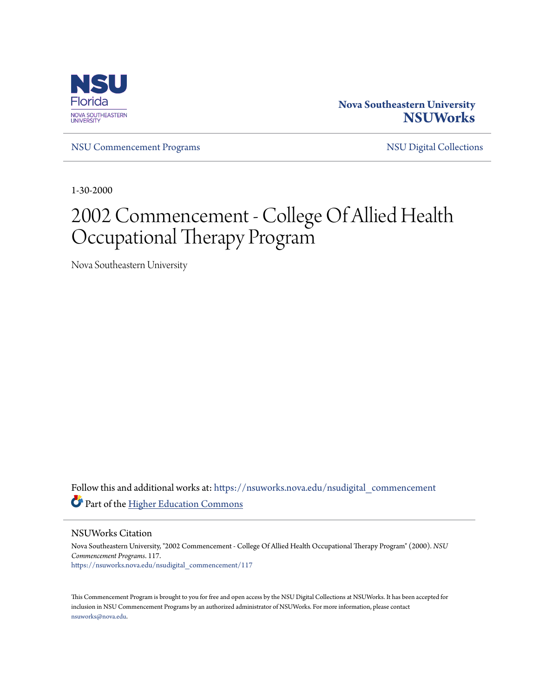

## **Nova Southeastern University [NSUWorks](https://nsuworks.nova.edu?utm_source=nsuworks.nova.edu%2Fnsudigital_commencement%2F117&utm_medium=PDF&utm_campaign=PDFCoverPages)**

[NSU Commencement Programs](https://nsuworks.nova.edu/nsudigital_commencement?utm_source=nsuworks.nova.edu%2Fnsudigital_commencement%2F117&utm_medium=PDF&utm_campaign=PDFCoverPages) [NSU Digital Collections](https://nsuworks.nova.edu/nsudigital?utm_source=nsuworks.nova.edu%2Fnsudigital_commencement%2F117&utm_medium=PDF&utm_campaign=PDFCoverPages)

1-30-2000

# 2002 Commencement - College Of Allied Health Occupational Therapy Program

Nova Southeastern University

Follow this and additional works at: [https://nsuworks.nova.edu/nsudigital\\_commencement](https://nsuworks.nova.edu/nsudigital_commencement?utm_source=nsuworks.nova.edu%2Fnsudigital_commencement%2F117&utm_medium=PDF&utm_campaign=PDFCoverPages) Part of the [Higher Education Commons](http://network.bepress.com/hgg/discipline/1245?utm_source=nsuworks.nova.edu%2Fnsudigital_commencement%2F117&utm_medium=PDF&utm_campaign=PDFCoverPages)

NSUWorks Citation

Nova Southeastern University, "2002 Commencement - College Of Allied Health Occupational Therapy Program" (2000). *NSU Commencement Programs*. 117. [https://nsuworks.nova.edu/nsudigital\\_commencement/117](https://nsuworks.nova.edu/nsudigital_commencement/117?utm_source=nsuworks.nova.edu%2Fnsudigital_commencement%2F117&utm_medium=PDF&utm_campaign=PDFCoverPages)

This Commencement Program is brought to you for free and open access by the NSU Digital Collections at NSUWorks. It has been accepted for inclusion in NSU Commencement Programs by an authorized administrator of NSUWorks. For more information, please contact [nsuworks@nova.edu.](mailto:nsuworks@nova.edu)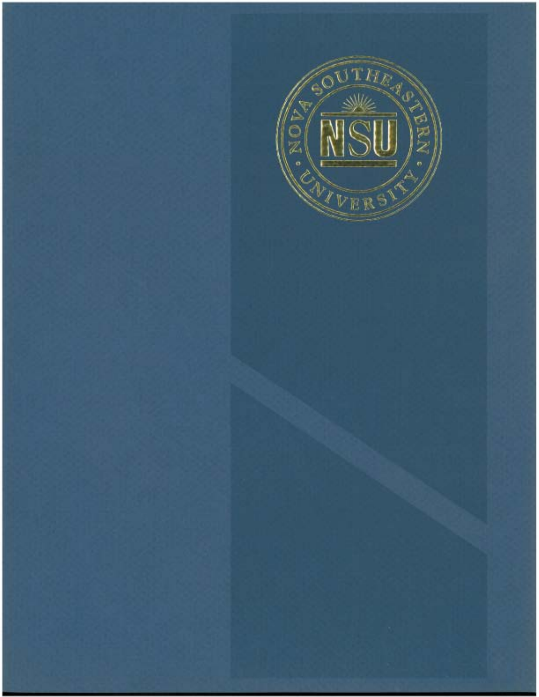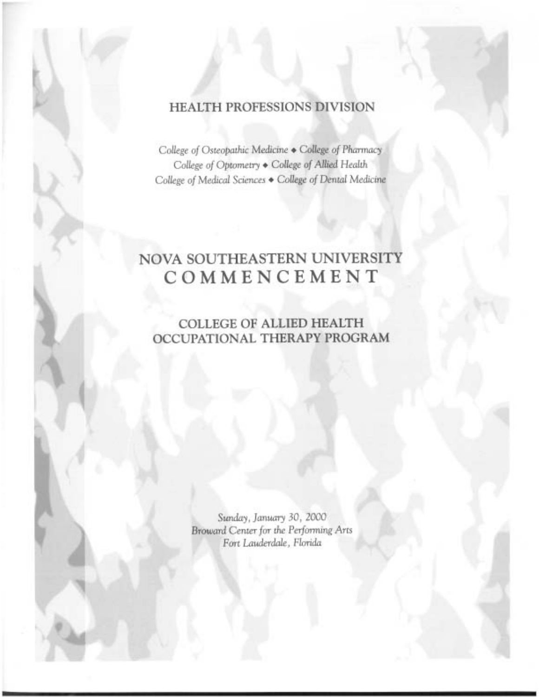# **HEALTH PROFESSIONS DIVISION**

*College of Osteopathic Medicine* + *College of Pharmacy College of Optometry* + *College of Allied Health College of Medical Sciences* + *College of Dental Medicine* 

# **NOVA SOUTHEASTERN UNIVERSITY COMMENCEMENT**

# **COLLEGE OF ALLIED HEALTH OCCUPATIONAL THERAPY PROGRAM**

*Sunday, January* 30, 2000 *Broward Center for the Performing Arts Fort Lauderdale, Florida*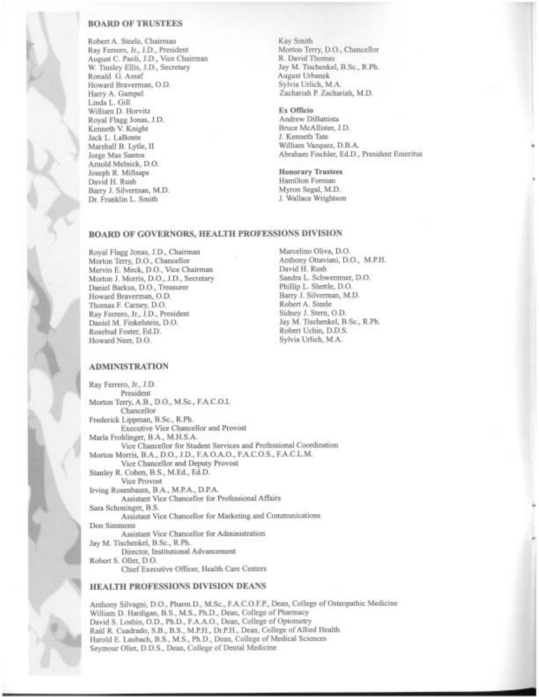### **BOARD OF TRUSTEES**

Robert A. Steele, Chairman Ray Ferrero, Jr., J.D., President August C. Paoli, J.D., Vice Chairman W. Tinsley Ellis, J.D., Secretary Ronald G. Assaf Howard Braverman, O.D. Harry A. Gampel Linda L. Gill William D. Horvitz Royal Flagg Jonas, J.D. Kenneth V. Knight Jack L. LaBonte Marshall B. Lytle, II Jorge Mas Santos Arnold Melnick, D.O. Joseph R. Millsaps David H. Rush Barry J. Silverman, M.D. Dr. Franklin L. Smith

Kay Smith Morton Terry, D.O., Chancellor R. David Thomas Jay M. Tischenkel, B.Sc., R.Ph. August Urbanek Sylvia Urlich, M.A. Zachariah P. Zachariah, M.D.

**Ex Officio**  Andrew DiBattista Bruce McAllister, J.D. J. Kenneth Tate William Vazquez, D.B.A. Abraham Fischler, Ed.D., President Emeritus

**Honorary Trustees**  Hamilton Forman Myron Segal, M.D. J. Wallace Wrightson

#### **BOARD OF GOVERNORS, HEALTH PROFESSIONS DIVISION**

Royal Flagg Jonas, J.D., Chairman Morton Terry, D.O., Chancellor Mervin E. Meck, D.O., Vice Chairman Morton J. Morris, D.O., J.D., Secretary Daniel Barkus, D.O., Treasurer Howard Braverman, O.D. Thomas F. Carney, D.O. Ray Ferrero, Jr., J.D., President Daniel M. Finkelstein, D.O. Rosebud Foster, Ed.D. Howard Neer, D.O.

Marcelino Oliva, D.O. Anthony Ottaviani, D.O., M.P.H. David H. Rush Sandra L. Schwemmer, D.O. Phillip L. Shettle, D.O. Barry J. Silverman, M.D. Robert A. Steele Sidney J. Stem, O.D. Jay M. Tischenkel, B.Sc., R.Ph. Robert Uchin, D.D.S. Sylvia Urlich, M.A.

**g** 

#### **ADMINISTRATION**

Ray Ferrero, Jr., J.D. President Morton Terry, A.B., D.O., M.Sc., F.A.C.O.I. Chancellor Frederick Lippman, B.Sc., R.Ph. Executive Vice Chancellor and Provost Marla Frohlinger, B.A., M.H.S.A. Vice Chancellor for Student Services and Professional Coordination Morton Morris, B.A., D.O., J.D., F.A.O.A.O., F.A.C.O.S., F.A.C.L.M. Vice Chancellor and Deputy Provost Stanley R. Cohen, B.S., M.Ed., Ed.D. Vice Provost Irving Rosenbaum, B.A., M.P.A., D.P.A. Assistant Vice Chancellor for Professional Affairs Sara Schoninger, B.S. Assistant Vice Chancellor for Marketing and Communications Don Simmons Assistant Vice Chancellor for Administration Jay M. Tischenkel, B.Sc., R.Ph. Director, Institutional Advancement Robert S. Oller, D.O. Chief Executive Officer, Health Care Centers

### **HEALTH PROFESSIONS DIVISION DEANS**

Anthony Silvagni, D.O., Pharm.D., M.Sc., F.A.C.O.F.P., Dean, College of Osteopathic Medicine William D. Hardigan, B.S., M.S., Ph.D., Dean, College of Pharmacy David S. Loshin, O.D., Ph.D., F.A.A.O., Dean, College of Optometry Raúl R. Cuadrado, S.B., B.S., M.P.H., Dr.P.H., Dean, College of Allied Health Harold E. Laubach, B.S., M.S., Ph.D., Dean, College of Medical Sciences Seymour Oliet, D.D.S., Dean, College of Dental Medicine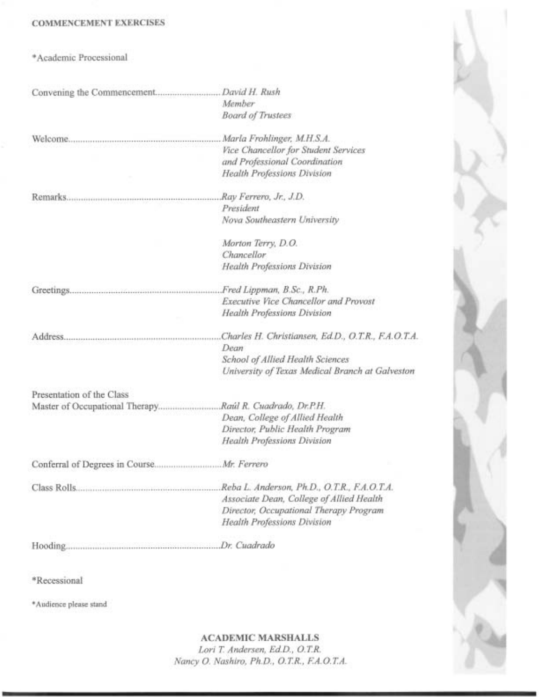## **COMMENCEMENT EXERCISES**

\* Academic Processional

|                                                         | Member                                             |
|---------------------------------------------------------|----------------------------------------------------|
|                                                         | <b>Board of Trustees</b>                           |
|                                                         | Marla Frohlinger, M.H.S.A.                         |
|                                                         | Vice Chancellor for Student Services               |
|                                                         | and Professional Coordination                      |
|                                                         | <b>Health Professions Division</b>                 |
|                                                         | Ray Ferrero, Jr., J.D.                             |
|                                                         | President                                          |
|                                                         | Nova Southeastern University                       |
|                                                         | Morton Terry, D.O.                                 |
|                                                         | Chancellor                                         |
|                                                         | <b>Health Professions Division</b>                 |
|                                                         |                                                    |
|                                                         | Executive Vice Chancellor and Provost              |
|                                                         | <b>Health Professions Division</b>                 |
|                                                         | Charles H. Christiansen, Ed.D., O.T.R., F.A.O.T.A. |
|                                                         | Dean                                               |
|                                                         | School of Allied Health Sciences                   |
|                                                         | University of Texas Medical Branch at Galveston    |
| Presentation of the Class                               |                                                    |
| Master of Occupational TherapyRaúl R. Cuadrado, Dr.P.H. |                                                    |
|                                                         | Dean, College of Allied Health                     |
|                                                         | Director, Public Health Program                    |
|                                                         | <b>Health Professions Division</b>                 |
|                                                         |                                                    |
|                                                         |                                                    |
|                                                         | Associate Dean, College of Allied Health           |
|                                                         | Director, Occupational Therapy Program             |
|                                                         | <b>Health Professions Division</b>                 |
|                                                         |                                                    |
| *Recessional                                            |                                                    |

\* Audience please stand



**ACADEMIC MARSHALLS**  *Lori T. Andersen, Ed.D.,* 0. *T.R. Nancy* 0. *Nashiro, Ph.D., o.T.R., FA.o.T.A.*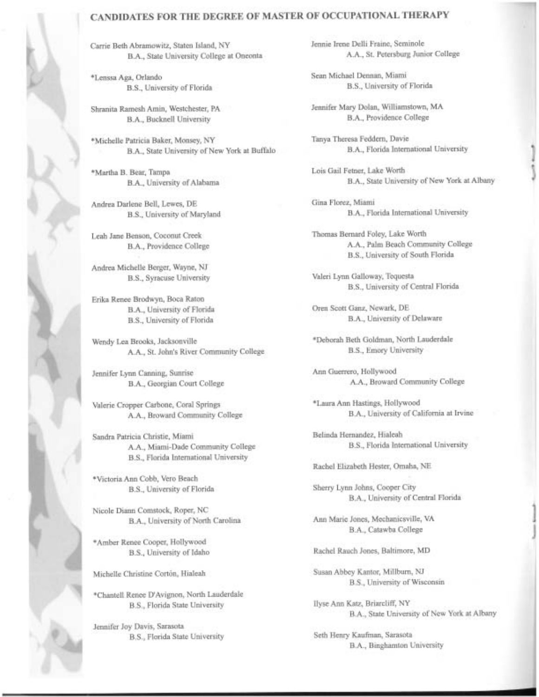## **CANDIDATES FOR THE DEGREE OF MASTER OF OCCUPATIONAL THERAPY**

Carrie Beth Abramowitz, Staten Island, NY B.A., State University College at Oneonta

\*Lenssa Aga, Orlando B.S., University of Florida

Shranita Ramesh Amin, Westchester, PA B.A., Bucknell University

\*Michelle Patricia Baker, Monsey, NY B.A., State University of New York at Buffalo

\*Martha B. Bear, Tampa B.A., University of Alabama

Andrea Darlene Bell, Lewes, DE B.S., University of Maryland

Leah Jane Benson, Coconut Creek B.A., Providence College

Andrea Michelle Berger, Wayne, NJ B.S., Syracuse University

Erika Renee Brodwyn, Boca Raton B.A., University of Florida B.S., University of Florida

Wendy Lea Brooks, Jacksonville A.A., St. John's River Community College

Jennifer Lynn Canning, Sunrise B.A., Georgian Court College

Valerie Cropper Carbone, Coral Springs A.A., Broward Community College

Sandra Patricia Christie, Miami A.A., Miami-Dade Community College B.S., Florida International University

\*Victoria Ann Cobb, Vero Beach B.S., University of Florida

Nicole Diann Comstock, Roper, NC B.A., University of North Carolina

\* Amber Renee Cooper, Hollywood B.S., University of Idaho

Michelle Christine Corton, Hialeah

\*Chantell Renee D'Avignon, North Lauderdale B.S., Florida State University

Jennifer Joy Davis, Sarasota B.S., Florida State University Jennie Irene Delli Fraine, Seminole A.A., St. Petersburg Junior College

Sean Michael Dennan, Miami B.S., University of Florida

Jennifer Mary Dolan, Williamstown, MA B.A., Providence College

Tanya Theresa Feddern, Davie B.A., Florida International University

Lois Gail Fetner, Lake Worth B.A., State University of New York at Albany

Gina Florez, Miami B.A., Florida International University

Thomas Bernard Foley, Lake Worth A.A., Palm Beach Community College B.S., University of South Florida

Valeri Lynn Galloway, Tequesta B.S., University of Central Florida

Oren Scott Ganz, Newark, DE B.A., University of Delaware

\*Deborah Beth Goldman, North Lauderdale B.S., Emory University

Ann Guerrero, Hollywood A.A., Broward Community College

\*Laura Ann Hastings, Hollywood B.A., University of California at Irvine

Belinda Hernandez, Hialeah B.S., Florida International University

Rachel Elizabeth Hester, Omaha, NE

Sherry Lynn Johns, Cooper City B.A., University of Central Florida

Ann Marie Jones, Mechanicsville, VA B.A., Catawba College

Rachel Rauch Jones, Baltimore, MD

Susan Abbey Kantor, Millburn, NJ B.S., University of Wisconsin

I1yse Ann Katz, Briarcliff, NY B.A., State University of New York at Albany

Seth Henry Kaufman, Sarasota B.A., Binghamton University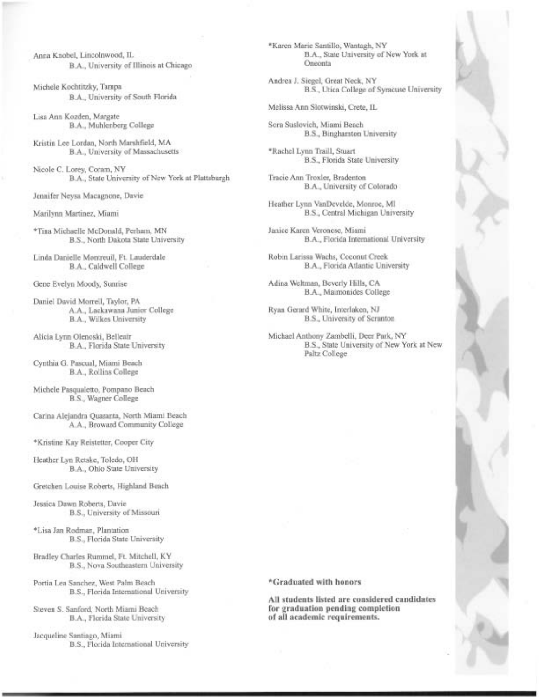Anna Knobel, Lincolnwood, IL B.A., University of Illinois at Chicago

Michele Kochtitzky, Tampa B.A., University of South Florida

Lisa Ann Kozden, Margate B.A., Muhlenberg College

Kristin Lee Lordan, North Marshfield, MA B.A., University of Massachusetts

Nicole C. Lorey, Coram, NY B.A., State University of New York at Plattsburgh

Jennifer Neysa Macagnone, Davie

Marilynn Martinez, Miami

\*Tina Michaelle McDonald, Perham, MN B.S., North Dakota State University

Linda Danielle Montreuil, Ft. Lauderdale B.A., Caldwell College

Gene Evelyn Moody, Sunrise

Daniel David Morrell, Taylor, PA A.A., Lackawana Junior College B.A., Wilkes University

Alicia Lynn Olenoski, Belleair B.A., Florida State University

Cynthia G. Pascual, Miami Beach B.A., Rollins College

Michele Pasqualetto, Pompano Beach B.S., Wagner College

Carina Alejandra Quaranta, North Miami Beach A.A., Broward Community College

\*Kristine Kay Reistetter, Cooper City

Heather Lyn Retske, Toledo, OH B.A., Ohio State University

Gretchen Louise Roberts, Highland Beach

Jessica Dawn Roberts, Davie B.S., University of Missouri

\*Lisa Jan Rodman, Plantation B.S., Florida State University

Bradley Charles Rummel, Ft. Mitchell, KY B.S., Nova Southeastern University

Portia Lea Sanchez, West Palm Beach B.S., Florida International University

Steven S. Sanford, North Miami Beach B.A., Florida State University

Jacqueline Santiago, Miami B.S., Florida International University \*Karen Marie Santillo, Wantagh, NY B.A., State University of New York at Oneonta

Andrea J. Siegel, Great Neck, NY B.S., Utica College of Syracuse University

Melissa Ann Slotwinski, Crete, IL

Sora Suslovich, Miami Beach B.S., Binghamton University

\*Rachel Lynn Traill, Stuart B.S., Florida State University

Tracie Ann Troxler, Bradenton B.A., University of Colorado

Heather Lynn VanDevelde, Monroe, MI B.S., Central Michigan University

Janice Karen Veronese, Miami B.A., Florida International University

Robin Larissa Wachs, Coconut Creek B.A., Florida Atlantic University

Adina Weltman, Beverly Hills, CA B.A., Maimonides College

Ryan Gerard White, Interlaken, NJ B.S., University of Scranton

Michael Anthony Zambelli, Deer Park, NY B.S., State University of New York at New Paltz College

### **\*Graduated with honors**

**All students listed are considered candidates for graduation pending completion of all academic requirements.** 

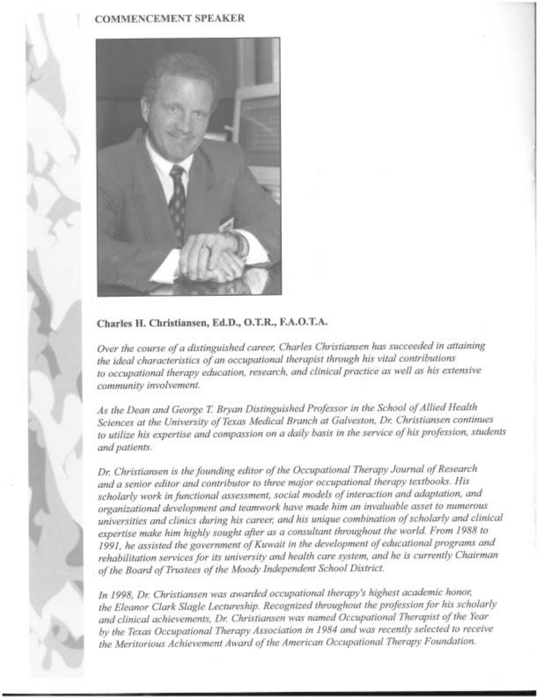

## **COMMENCEMENT SPEAKER**



**Charles H. Christiansen, Ed.D., O.T.R., F.A.O.T.A.** 

*Over the course of a distinguished career, Charles Christiansen has succeeded in attaining the ideal characteristics of an occupational therapist through his vital contributions to occupational therapy education, research, and clinical practice as well as his extensive community involvement.* 

*As the Dean and George T Bryan Distinguished Professor in the School of Allied Health Sciences at the University of Texas Medical Branch at Galveston, Dr. Christiansen continues to utilize his expertise and compassion on a daily basis in the service of his profession, students and patients.* 

*Dr. Christiansen is the founding editor of the Occupational Therapy Journal of Research and a senior editor and contributor to three major occupational therapy textbooks. His scholarly work in functional assessment, social models of interaction and adaptation, and organizational development and teamwork have made him an invaluable asset to numerous universities and clinics during his career, and his unique combination of scholarly and clinical*  expertise make him highly sought after as a consultant throughout the world. From 1988 to *1991, he assisted the government of Kuwait in the development of educational programs and rehabilitation services for its university and health care system, and he is currently Chairman , of the Board of Trustees of the Moody Independent School District.* 

*In* 1998, *Dr. Christiansen was awarded occupational therapy's highest academic honor, the Eleanor Clark Slagle Lectureship. Recognized throughout the profession for his scholarly and clinical achievements, Dr. Christiansen was named Occupational Therapist of the Year by the Texas Occupational Therapy Association in* 1984 *and was recently selected to receive the Meritorious Achievement Award of the American Occupational Therapy Foundation.*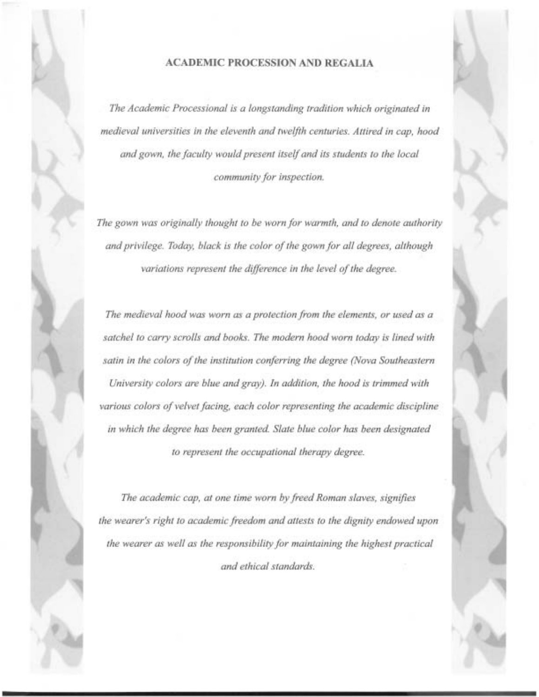## **ACADEMIC PROCESSION AND REGALIA**

*The Academic Processional is a longstanding tradition which originated in medieval universities in the eleventh and twelfth centuries. Attired in cap, hood and gown, the faculty would present itself and its students to the local community for inspection.* 

*The gown was originally thought to be worn for warmth, and to denote authority and privilege. Today, black is the color of the gown for all degrees, although variations represent the difference in the level of the degree.* 

*The medieval hood was worn as a protection from the elements, or used as a satchel to carry scrolls and books. The modern hood worn today is lined with satin in the colors of the institution conferring the degree (Nova Southeastern University colors are blue and gray). In addition, the hood is trimmed with*  various colors of velvet facing, each color representing the academic discipline in which the degree has been granted. Slate blue color has been designated *to represent the occupational therapy degree.* 

*The academic cap, at one time worn by freed Roman slaves, signifies the wearer's right to academic freedom and attests to the dignity endowed upon the wearer as well as the responsibility for maintaining the highest practical and ethical standards.*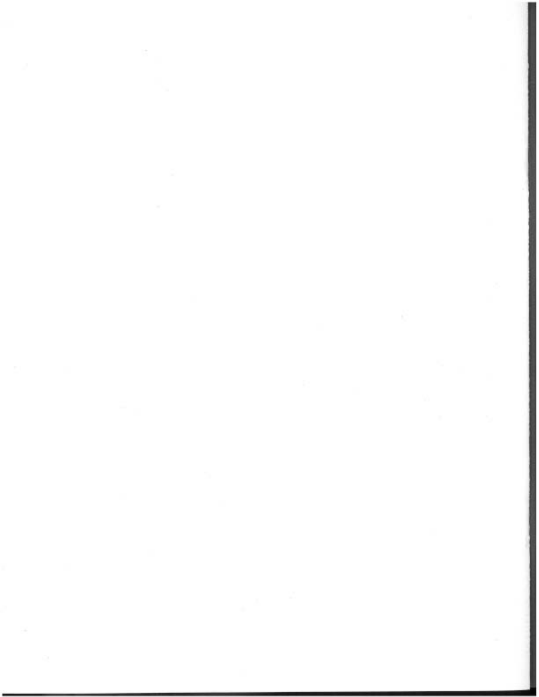